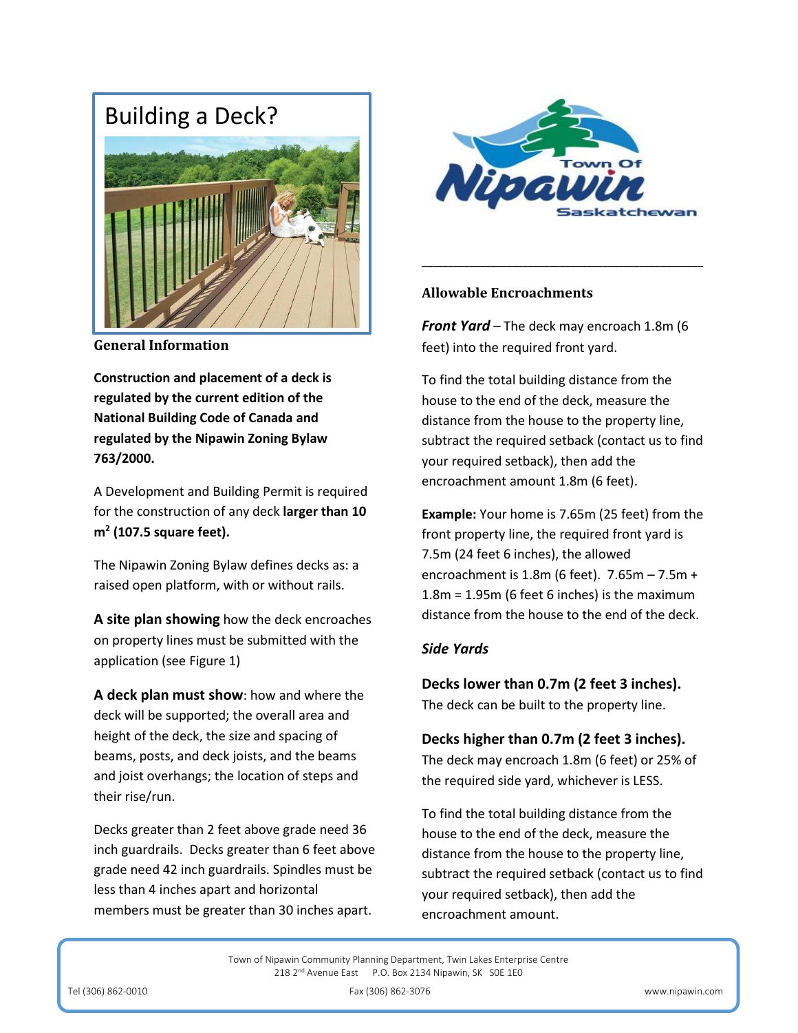# Building a Deck?



**General Information** 

**Construction and placement of a deck is regulated by the current edition of the National Building Code of Canada and regulated by the Nipawin Zoning Bylaw 763/2000.**

A Development and Building Permit is required for the construction of any deck **larger than 10 m<sup>2</sup> (107.5 square feet).** 

The Nipawin Zoning Bylaw defines decks as: a raised open platform, with or without rails.

**A site plan showing** how the deck encroaches on property lines must be submitted with the application (see Figure 1)

**A deck plan must show**: how and where the deck will be supported; the overall area and height of the deck, the size and spacing of beams, posts, and deck joists, and the beams and joist overhangs; the location of steps and their rise/run.

Decks greater than 2 feet above grade need 36 inch guardrails. Decks greater than 6 feet above grade need 42 inch guardrails. Spindles must be less than 4 inches apart and horizontal members must be greater than 30 inches apart.



**\_\_\_\_\_\_\_\_\_\_\_\_\_\_\_\_\_\_\_\_\_\_\_\_\_\_\_\_\_\_\_\_\_\_\_\_\_\_\_\_\_\_\_\_\_\_\_\_\_\_\_\_\_**

### **Allowable Encroachments**

*Front Yard –* The deck may encroach 1.8m (6 feet) into the required front yard.

To find the total building distance from the house to the end of the deck, measure the distance from the house to the property line, subtract the required setback (contact us to find your required setback), then add the encroachment amount 1.8m (6 feet).

**Example:** Your home is 7.65m (25 feet) from the front property line, the required front yard is 7.5m (24 feet 6 inches), the allowed encroachment is 1.8m (6 feet). 7.65m – 7.5m + 1.8m = 1.95m (6 feet 6 inches) is the maximum distance from the house to the end of the deck.

## *Side Yards*

**Decks lower than 0.7m (2 feet 3 inches).** The deck can be built to the property line.

# **Decks higher than 0.7m (2 feet 3 inches).**

The deck may encroach 1.8m (6 feet) or 25% of the required side yard, whichever is LESS.

To find the total building distance from the house to the end of the deck, measure the distance from the house to the property line, subtract the required setback (contact us to find your required setback), then add the encroachment amount.

Town of Nipawin Community Planning Department, Twin Lakes Enterprise Centre 218 2<sup>nd</sup> Avenue East P.O. Box 2134 Nipawin, SK SOE 1E0

Tel (306) 862-0010 Fax (306) 862-3076 www.nipawin.com